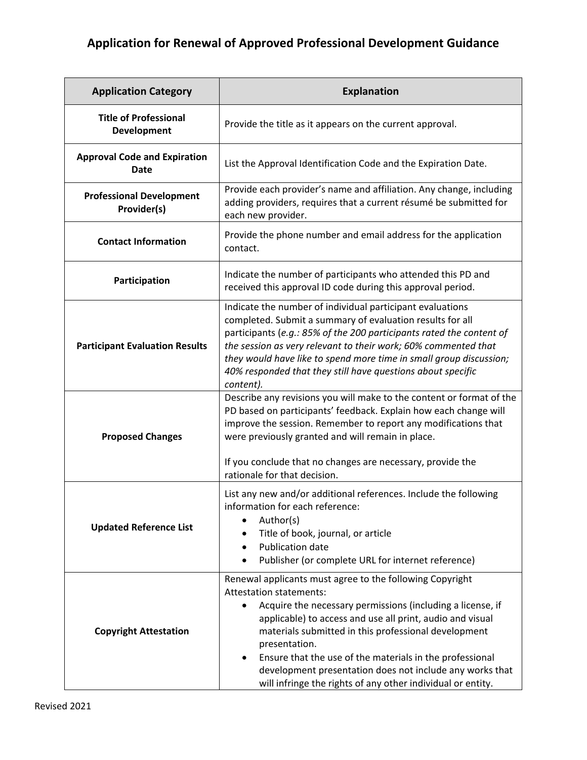## **Application for Renewal of Approved Professional Development Guidance**

| <b>Application Category</b>                    | <b>Explanation</b>                                                                                                                                                                                                                                                                                                                                                                                                                                                                    |
|------------------------------------------------|---------------------------------------------------------------------------------------------------------------------------------------------------------------------------------------------------------------------------------------------------------------------------------------------------------------------------------------------------------------------------------------------------------------------------------------------------------------------------------------|
| <b>Title of Professional</b><br>Development    | Provide the title as it appears on the current approval.                                                                                                                                                                                                                                                                                                                                                                                                                              |
| <b>Approval Code and Expiration</b><br>Date    | List the Approval Identification Code and the Expiration Date.                                                                                                                                                                                                                                                                                                                                                                                                                        |
| <b>Professional Development</b><br>Provider(s) | Provide each provider's name and affiliation. Any change, including<br>adding providers, requires that a current résumé be submitted for<br>each new provider.                                                                                                                                                                                                                                                                                                                        |
| <b>Contact Information</b>                     | Provide the phone number and email address for the application<br>contact.                                                                                                                                                                                                                                                                                                                                                                                                            |
| Participation                                  | Indicate the number of participants who attended this PD and<br>received this approval ID code during this approval period.                                                                                                                                                                                                                                                                                                                                                           |
| <b>Participant Evaluation Results</b>          | Indicate the number of individual participant evaluations<br>completed. Submit a summary of evaluation results for all<br>participants (e.g.: 85% of the 200 participants rated the content of<br>the session as very relevant to their work; 60% commented that<br>they would have like to spend more time in small group discussion;<br>40% responded that they still have questions about specific<br>content).                                                                    |
| <b>Proposed Changes</b>                        | Describe any revisions you will make to the content or format of the<br>PD based on participants' feedback. Explain how each change will<br>improve the session. Remember to report any modifications that<br>were previously granted and will remain in place.<br>If you conclude that no changes are necessary, provide the<br>rationale for that decision.                                                                                                                         |
| <b>Updated Reference List</b>                  | List any new and/or additional references. Include the following<br>information for each reference:<br>Author(s)<br>Title of book, journal, or article<br>Publication date<br>$\bullet$<br>Publisher (or complete URL for internet reference)                                                                                                                                                                                                                                         |
| <b>Copyright Attestation</b>                   | Renewal applicants must agree to the following Copyright<br><b>Attestation statements:</b><br>Acquire the necessary permissions (including a license, if<br>applicable) to access and use all print, audio and visual<br>materials submitted in this professional development<br>presentation.<br>Ensure that the use of the materials in the professional<br>development presentation does not include any works that<br>will infringe the rights of any other individual or entity. |